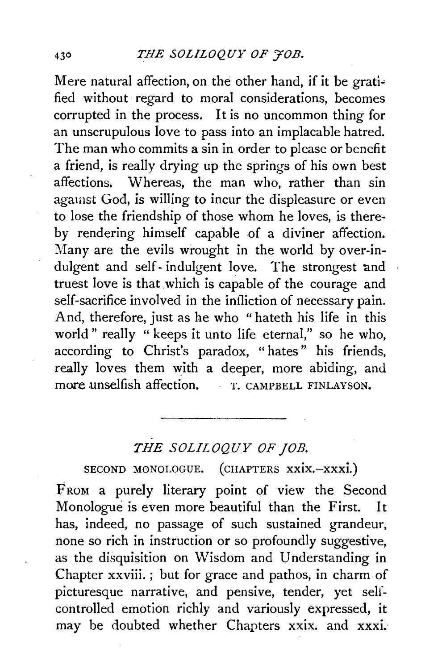Mere natural affection, on the other hand, if it be gratified without regard to moral considerations, becomes corrupted in the process. It is no uncommon thing for an unscrupulous love to pass into an implacable hatred. The man who commits a sin in order to please or benefit a friend, is really drying up the springs of his own best affections. Whereas, the man who, rather than sin against God, is willing to incur the displeasure or even to lose the friendship of those whom he loves, is thereby rendering himself capable of a diviner affection. Many are the evils wrought in the world by over-indulgent and self-indulgent love. The strongest and truest love is that which is capable of the courage and self-sacrifice involved in the infliction of necessary pain. And, therefore, just as he who "hateth his life in this world" really " keeps it unto life eternal," so he who, according to Christ's paradox, "hates" his friends, really loves them with a deeper, more abiding, and more unselfish affection. T. CAMPBELL FINLAYSON.

## *THE SOLILOQUY OF JOB.*

SECOND MONOLOGUE. (CHAPTERS xxix.-xxxi.)

FROM a purely literary point of view the Second Monologue is even more beautiful than the First. It has, indeed, no passage of such sustained grandeur, none so rich in instruction or so profoundly suggestive, as the disquisition on Wisdom and Understanding in Chapter xxviii.; but for grace and pathos, in charm.of picturesque narrative, and pensive, tender, yet selfcontrolled emotion richly and variously expressed, it may be doubted whether Chapters xxix. and xxxi.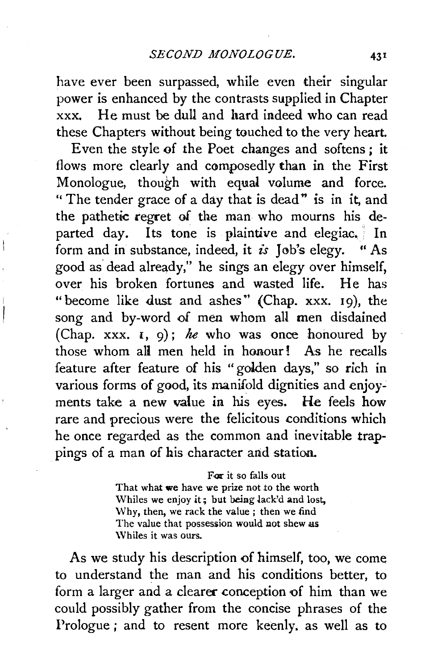have ever been surpassed, while even their singular power is enhanced by the contrasts supplied in Chapter xxx. He must be dull and hard indeed who can read these Chapters without being touched to the very heart.

Even the style of the Poet changes and softens; it flows more clearly and composedly than in the First Monologue, though with equal volume and force. " The tender grace of a day that is dead" is in it, and the pathetic regret of the man who mourns his departed day. Its tone is plaintive and elegiac,  $\ln$ form and in substance, indeed, it *is* Job's elegy. "As good as dead already," he sings an elegy over himself, over his broken fortunes and wasted life. He has "become like dust and ashes" (Chap. xxx. 19), the song and by-word of men whom all men disdained (Chap. xxx.  $\mathbf{i}$ , 9); *he* who was once honoured by those whom all men held in honour! As he recalls feature after feature of his "golden days," so rich in various forms of good, its manifold dignities and enjoyments take a new value in his eyes. He feels how rare and precious were the felicitous conditions which he once regarded as the common and inevitable trappings of a man of his character and station.

> For it so falls out That what we have we prize not to the worth Whiles we enjoy it; but being lack'd and lost, Why, then, we rack the value; then we find The value that possession would not shew us \Vhiles it was ours.

As we study his description of himself, too, we come to understand the man and his conditions better, to form a larger and a clearer conception of him than we could possibly gather from the concise phrases of the Prologue ; and to resent more keenly. as well as to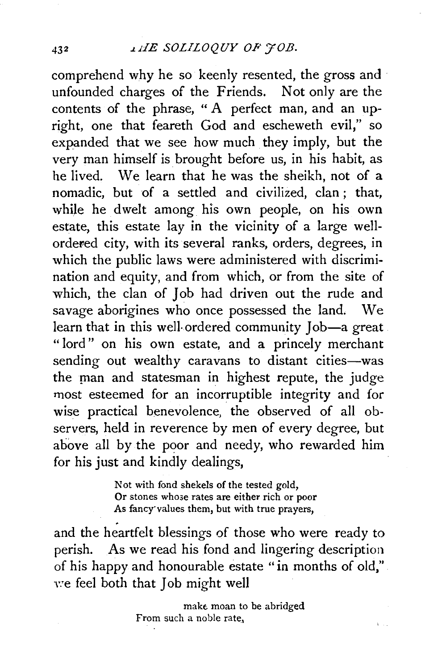#### 432 *J..dE SOLILOQUY OP* YOB.

comprehend why he so keenly resented, the gross and unfounded charges of the Friends. Not only are the contents of the phrase, " A perfect man, and an upright, one that feareth God and escheweth evil," so expanded that we see how much they imply, but the very man himself is brought before us, in his habit, as he lived. We learn that he was the sheikh, not of a nomadic, but of a settled and civilized, clan ; that, while he dwelt among his own people, on his own estate, this estate lay in the vicinity of a large wellordered city, with its several ranks, orders, degrees, in which the public laws were administered with discrimination and equity, and from which, or from the site of which, the clan of Job had driven out the rude and savage aborigines who once possessed the land. We learn that in this well-ordered community Job-a great "lord" on his own estate, and a princely merchant sending out wealthy caravans to distant cities-was the man and statesman in highest repute, the judge most esteemed for an incorruptible integrity and for wise practical benevolence, the observed of all observers, held in reverence by men of every degree, but above all by the poor and needy, who rewarded him for his just and kindly dealings,

> Not with fond shekels of the tested gold, Or stones whose rates are either rich or poor As fancy values them, but with true prayers,

and the heartfelt blessings of those who were ready to perish. As we read his fond and lingering description of his happy and honourable estate "in months of old," *y:e* feel both that Job might well

> make moan to be abridged From such a noble rate.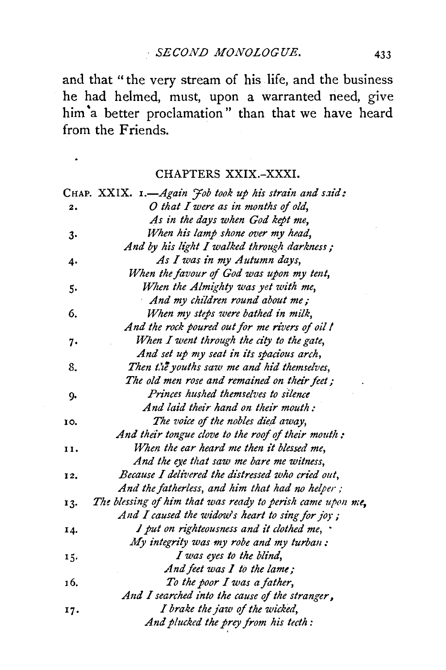and that "the very stream of his life, and the business he had helmed, must, upon a warranted need, give him 'a better proclamation" than that we have heard from the Friends.

## CHAPTERS XXIX.-XXXI.

|     | CHAP. XXIX. 1.-Again <i>Fob took up his strain and said</i> : |
|-----|---------------------------------------------------------------|
| 2.  | O that I were as in months of old,                            |
|     | As in the days when God kept me,                              |
| 3.  | When his lamp shone over my head,                             |
|     | And by his light I walked through darkness;                   |
| 4.  | As I was in my Autumn days,                                   |
|     | When the favour of God was upon my tent,                      |
| 5.  | When the Almighty was yet with me,                            |
|     | And my children round about me;                               |
| 6.  | When my steps were bathed in milk,                            |
|     | And the rock poured out for me rivers of oil !                |
| 7.  | When I went through the city to the gate,                     |
|     | And set up my seat in its spacious arch,                      |
| 8.  | Then the youths saw me and hid themselves,                    |
|     | The old men rose and remained on their feet;                  |
| 9.  | Princes hushed themselves to silence                          |
|     | And laid their hand on their mouth:                           |
| 10. | The voice of the nobles died away,                            |
|     | And their tongue clove to the roof of their mouth:            |
| 11. | When the ear heard me then it blessed me,                     |
|     | And the eye that saw me bare me witness,                      |
| 12. | Because I delivered the distressed who cried out,             |
|     | And the fatherless, and him that had no helper;               |
| 13. | The blessing of him that was ready to perish came upon me,    |
|     | And I caused the widow's heart to sing for joy;               |
| 14. | I put on righteousness and it clothed me,                     |
|     | My integrity was my robe and my turban:                       |
| 15. | I was eyes to the blind,                                      |
|     | And feet was $I$ to the lame;                                 |
| 16. | To the poor I was a father,                                   |
|     | And I searched into the cause of the stranger,                |
| 17. | I brake the jaw of the wicked,                                |
|     | And plucked the prey from his tecth:                          |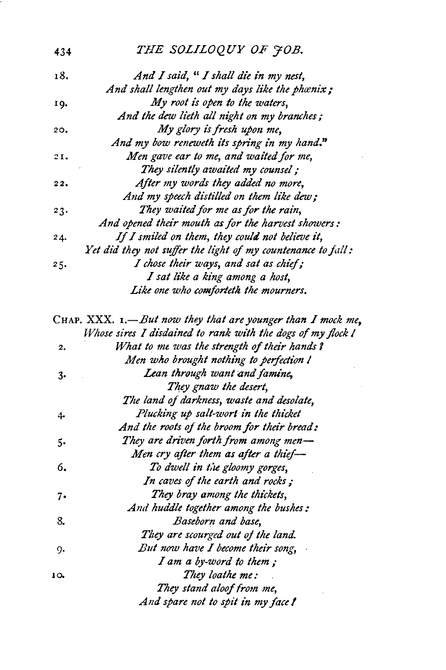### 434 *THE SOLILOQUY OF*  $\tilde{\tau}$ *OB.*

| 18. | And I said, "I shall die in my nest,                         |
|-----|--------------------------------------------------------------|
|     | And shall lengthen out my days like the phænix;              |
| 19. | My root is open to the waters,                               |
|     | And the dew lieth all night on my branches;                  |
| 20. | My glory is fresh upon me,                                   |
|     | And my bow reneweth its spring in my hand."                  |
| 21. | Men gave ear to me, and waited for me,                       |
|     | They silently awaited my counsel;                            |
| 22. | After my words they added no more,                           |
|     | And my speech distilled on them like dew;                    |
| 23. | They waited for me as for the rain,                          |
|     | And opened their mouth as for the harvest showers:           |
| 24. | If I smiled on them, they could not believe it,              |
|     | Yet did they not suffer the light of my countenance to fall: |
| 25. | I chose their ways, and sat as chief;                        |
|     | I sat like a king among a host,                              |
|     | Like one who comforteth the mourners.                        |

CHAP. XXX. 1.-But now they that are younger than I mock me, *Whose sires I disdained to rank with the dogs of my flock I* 2. *What to mt was the strength of their hands* 'I *Men who brought nothing to perfection I* 3. *Lean through want and famine, They gnaw the desert,*  The land of darkness, waste and desolate, 4. *Plucking up salt-worl in the thicket And the roots of the broom for their bread:*  5. *They are driven forth from among men-Men cry after them as after a thief*— 6. *To dwell in Cie gloomy gorges, In caves* of *the earth and rocks;*  7. *They bray among the thickets, And huddle together among the bushes:*  8. *Baseborn and base, T/Iey are scourged out of the land. 9. But now have I become their song, I am a by-word to them ;*  1 o. *They loathe me: They stand aloof from me, And spare not to spit in my face* I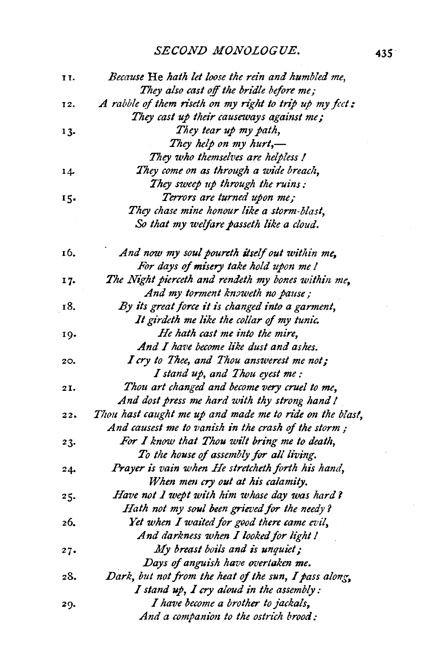## *SECOND MONOLOGUE.* 435

| 11. | Because He hath let loose the rein and humbled me,       |
|-----|----------------------------------------------------------|
|     | They also cast off the bridle before me;                 |
| 12. | A rabble of them riseth on my right to trip up my feet:  |
|     | They cast up their causeways against me;                 |
| 13. | They tear up my path,                                    |
|     | They help on my hurt,-                                   |
|     | They who themselves are helpless!                        |
| 14. | They come on as through a wide breach,                   |
|     | They sweep up through the ruins:                         |
| 15. | Terrors are turned upon me;                              |
|     | They chase mine honour like a storm-blast,               |
|     | So that my welfare passeth like a cloud.                 |
| 16. | And now my soul poureth itself out within me,            |
|     | For days of misery take hold upon me!                    |
| 17. | The Night pierceth and rendeth my bones within me,       |
|     | And my torment knoweth no pause;                         |
| 18. | By its great force it is changed into a garment,         |
|     | It girdeth me like the collar of my tunic.               |
| 19. | He hath cast me into the mire,                           |
|     | And I have become like dust and ashes.                   |
| 20. | I cry to Thee, and Thou answerest me not;                |
|     | I stand up, and Thou eyest me :                          |
| 21. | Thou art changed and become very cruel to me,            |
|     | And dost press me hard with thy strong hand !            |
| 22. | Thou hast caught me up and made me to ride on the blast, |
|     | And causest me to vanish in the crash of the storm;      |
| 23. | For I know that Thou wilt bring me to death,             |
|     | To the house of assembly for all living.                 |
| 24. | Prayer is vain when He stretcheth forth his hand,        |
|     | When men cry out at his calamity.                        |
| 25. | Have not I wept with him whose day was hard?             |
|     | Hath not my soul been grieved for the needy?             |
| 26. | Yet when I waited for good there came evil,              |
|     | And darkness when I looked for light !                   |
| 27. | My breast boils and is unquiet;                          |
|     | Days of anguish have overtaken me.                       |
| 28. | Dark, but not from the heat of the sun, I pass along,    |
|     | I stand up, I cry aloud in the assembly:                 |
| 29. | I have become a brother to jackals,                      |
|     | And a companion to the ostrich brood:                    |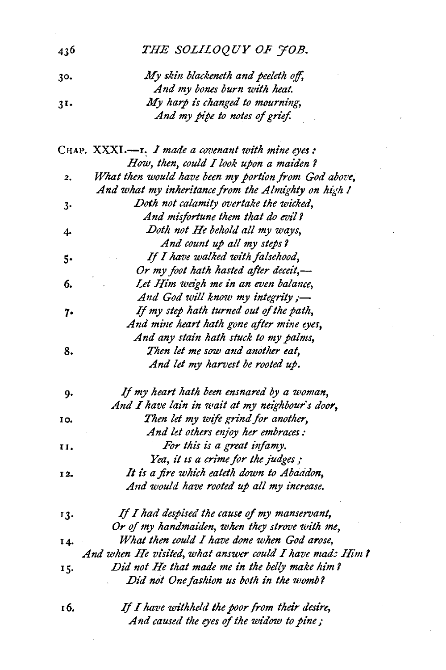| 436 | THE SOLILOQUY OF FOB.                                   |
|-----|---------------------------------------------------------|
| 30. | My skin blackeneth and peeleth off,                     |
|     | And my bones burn with heat.                            |
| 31. | My harp is changed to mourning,                         |
|     | And my pipe to notes of grief.                          |
|     | CHAP. XXXI.--I. I made a covenant with mine eyes:       |
|     | How, then, could I look upon a maiden?                  |
| 2.  | What then would have been my portion from God above,    |
|     | And what my inheritance from the Almighty on high !     |
| 3.  | Doth not calamity overtake the wicked,                  |
|     | And misfortune them that do evil?                       |
| 4.  | Doth not He behold all my ways,                         |
|     | And count up all my steps?                              |
| 5.  | If I have walked with falsehood,                        |
|     | Or my foot hath hasted after deceit,-                   |
| 6.  | Let Him weigh me in an even balance,                    |
|     | And God will know my integrity;-                        |
| 7.  | If my step hath turned out of the path,                 |
|     | And mine heart hath gone after mine eyes,               |
|     | And any stain hath stuck to my palms,                   |
| 8.  | Then let me sow and another eat,                        |
|     | And let my harvest be rooted up.                        |
| 9.  | If my heart hath been ensnared by a woman,              |
|     | And I have lain in wait at my neighbour's door,         |
| IO. | Then let my wife grind for another,                     |
|     | And let others enjoy her embraces:                      |
| 11. | For this is a great infamy.                             |
|     | Yea, it is a crime for the judges;                      |
| 12. | It is a fire which eateth down to Abaadon,              |
|     | And would have rooted up all my increase.               |
| 13. | If I had despised the cause of my manservant,           |
|     | Or of my handmaiden, when they strove with me,          |
| 14. | What then could I have done when God arose,             |
|     | And when He visited, what answer could I have mad: Him? |
| 15. | Did not He that made me in the belly make him?          |
|     | Did not One fashion us both in the womb?                |
| τб. | If I have withheld the poor from their desire,          |
|     | And caused the eyes of the widow to pine;               |

 $\sim 10^{11}$ 

 $\mathcal{A}^{\text{max}}_{\text{max}}$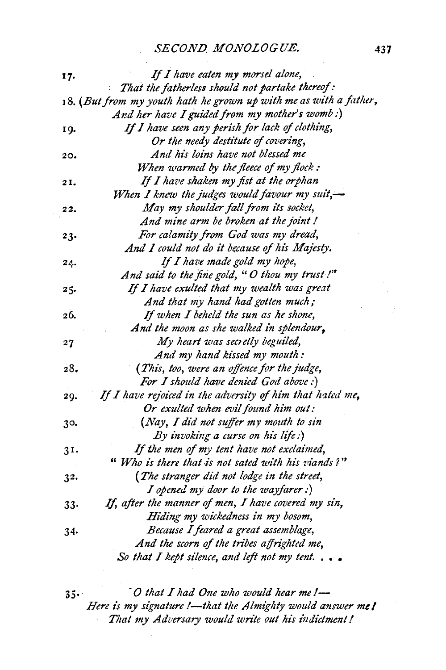#### *SECOND. MONOLOGUE.* **437**

| 17.       | If I have eaten my morsel alone,                                    |
|-----------|---------------------------------------------------------------------|
|           | That the fatherless should not partake thereof:                     |
|           | $18.$ (But from my youth hath he grown up with me as with a father, |
|           | And her have I guided from my mother's womb :)                      |
| 19.       | If I have seen any perish for lack of clothing,                     |
|           | Or the needy destitute of covering,                                 |
| 20.       | And his loins have not blessed me                                   |
|           | When warmed by the fleece of my flock:                              |
| 21.       | If I have shaken my fist at the orphan                              |
|           | When I knew the judges would favour my suit, $\rightarrow$          |
| 22.       | May my shoulder fall from its socket,                               |
|           | And mine arm be broken at the joint!                                |
| 23.       | For calamity from God was my dread,                                 |
|           | And I could not do it because of his Majesty.                       |
| $2\angle$ | If I have made gold my hope,                                        |
|           | And said to the fine gold, "O thou my trust!"                       |
| 25.       | If I have exulted that my wealth was great                          |
|           | And that my hand had gotten much;                                   |
| 26.       | If when I beheld the sun as he shone,                               |
|           | And the moon as she walked in splendour,                            |
| 27        | My heart was secretly beguiled,                                     |
|           | And my hand kissed my mouth:                                        |
| 28.       | (This, too, were an offence for the judge,                          |
|           | For I should have denied God above :)                               |
| 29.       | If I have rejoiced in the adversity of him that hated me,           |
|           | Or exulted when evil found him out:                                 |
| 30.       | (Nay, I did not suffer my mouth to sin                              |
|           | By invoking a curse on his life:)                                   |
| 31.       | If the men of my tent have not exclaimed,                           |
|           | "Who is there that is not sated with his viands?"                   |
| 32.       | (The stranger did not lodge in the street,                          |
|           | I opened my door to the wayfarer :)                                 |
| 33.       | If, after the manner of men, I have covered my sin,                 |
|           | Hiding my wickedness in my bosom,                                   |
| 34.       | Because I feared a great assemblage,                                |
|           | And the scorn of the tribes affrighted me,                          |
|           | So that I kept silence, and left not my tent                        |
|           |                                                                     |

35· *"0 that I had One who would hear me!- Here is my signature !- that the Almighty would answer me! That my Adversary would wn·te out his indictment I*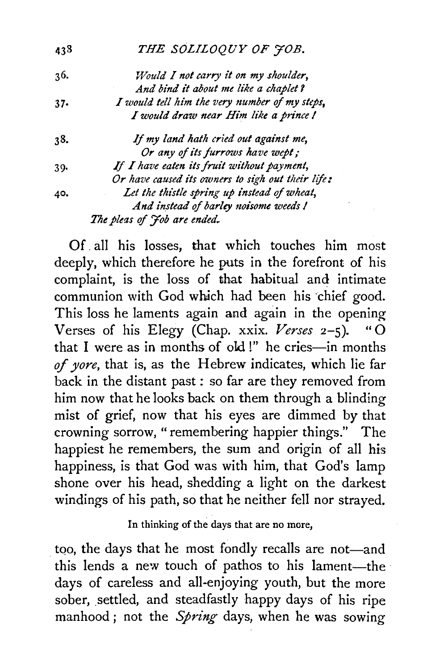| 438 | THE SOLILOQUY OF JOB.                             |
|-----|---------------------------------------------------|
| 36. | Would I not carry it on my shoulder,              |
|     | And bind it about me like a chaplet?              |
| 37. | I would tell him the very number of my steps,     |
|     | I would draw near Him like a prince !             |
| 38. | If my land hath cried out against me,             |
|     | Or any of its furrows have wept;                  |
| 39. | If I have eaten its fruit without payment,        |
|     | Or have caused its owners to sigh out their life: |
| 40, | Let the thistle spring up instead of wheat,       |
|     | And instead of barley noisome weeds !             |
|     | The pleas of Job are ended.                       |

Of. all his losses, that which touches him most deeply, which therefore he puts in the forefront of his complaint, is the loss of that habitual and intimate communion with God which had been his chief good. This loss he laments again and again in the opening Verses of his Elegy (Chap. xxix. *Verses* 2-5). "0 that I were as in months of old !" he cries-in months *of yore,* that is, as the Hebrew indicates, which lie far back in the distant past : so far are they removed from him now that he looks back on them through a blinding mist of grief, now that his eyes are dimmed by that crowning sorrow, " remembering happier things." The happiest he remembers, the sum and origin of all his happiness, is that God was with him, that God's lamp shone over his head, shedding a light on the darkest windings of his path, so that he neither fell nor strayed.

In thinking of the days that are no more,

too, the days that he most fondly recalls are not—and this lends a new touch of pathos to his lament-the days of careless and all-enjoying youth, but the more sober, settled, and steadfastly happy days of his ripe manhood ; not the *Spring* days, when he was sowing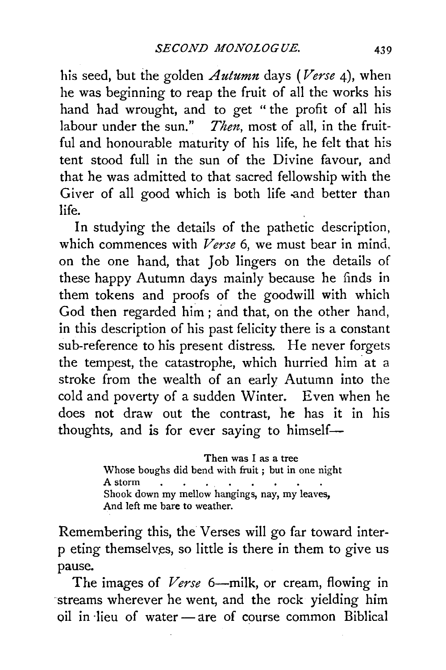his seed, but the golden *Autumn* days *(Verse* 4), when he was beginning to reap the fruit of all the works his hand had wrought, and to get " the profit of all his labour under the sun." *Then,* most of all, in the fruitful and honourable maturity of his life, he felt that his tent stood full in the sun of the Divine favour, and that he was admitted to that sacred fellowship with the Giver of all good which is both life and better than life.

In studying the details of the pathetic description, which commences with *Verse* 6, we must bear in mind, on the one hand, that Job lingers on the details of these happy Autumn days mainly because he finds in them tokens and proofs of the goodwill with which God then regarded him; and that, on the other hand, in this description of his past felicity there is a constant sub-reference to his present distress. He never forgets the tempest, the catastrophe, which hurried him at a stroke from the wealth of an early Autumn into the cold and poverty of a sudden Winter. Even when he does not draw out the contrast, he has it in his thoughts, and is for ever saying to himself-

> Then was I as a tree Whose boughs did bend with fruit ; but in one night A storm  $\mathcal{L}^{\mathcal{A}}$  , and  $\mathcal{L}^{\mathcal{A}}$  , and  $\mathcal{L}^{\mathcal{A}}$  , and  $\mathcal{L}^{\mathcal{A}}$  $\sim$ Shook down my mellow hangings, nay, my leaves, And left me bare to weather.

Remembering this, the Verses will go far toward interp eting themselves, so little is there in them to give us pause.

The images of *Verse* 6—milk, or cream, flowing in ·streams wherever he went, and the rock yielding him oil in lieu of water - are of course common Biblical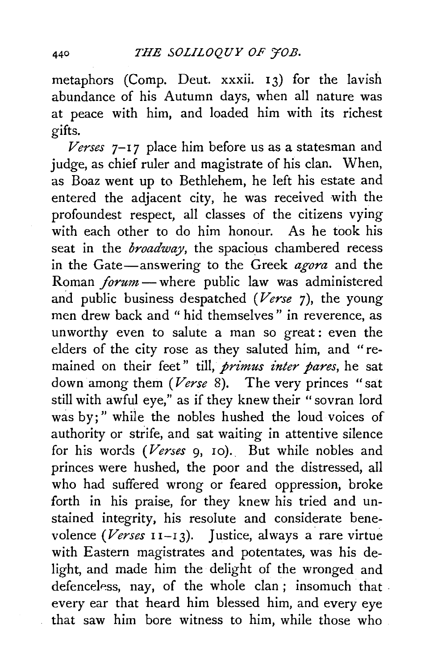metaphors (Comp. Deut. xxxii. 13) for the lavish abundance of his Autumn days, when all nature was at peace with him, and loaded him with its richest gifts.

*Verses* 7- <sup>1</sup>*7* place him before us as a statesman and judge, as chief ruler and magistrate of his clan. When, as Boaz went up to Bethlehem, he left his estate and entered the adjacent city, he was received with the profoundest respect, all classes of the citizens vying with each other to do him honour. As he took his seat in the *broadway*, the spacious chambered recess in the Gate-answering to the Greek *agora* and the Roman *forum* — where public law was administered and public business despatched *(Verse* 7), the young men drew back and" hid themselves" in reverence, as unworthy even to salute a man so great: even the elders of the city rose as they saluted him, and "remained on their feet" till, *primus inter pares*, he sat down among them *(Verse* 8). The very princes "sat still with awful eye," as if they knew their "sovran lord was by;" while the nobles hushed the loud voices of authority or strife, and sat waiting in attentive silence for his words *(Verses* 9, 10). But while nobles and princes were hushed, the poor and the distressed, all who had suffered wrong or feared oppression, broke forth in his praise, for they knew his tried and unstained integrity, his resolute and considerate benevolence *(Verses* 11-13). Justice, always a rare virtue with Eastern magistrates and potentates, was his delight, and made him the delight of the wronged and defenceless, nay, of the whole clan; insomuch that every ear that heard him blessed him, and every eye that saw him bore witness to him, while those who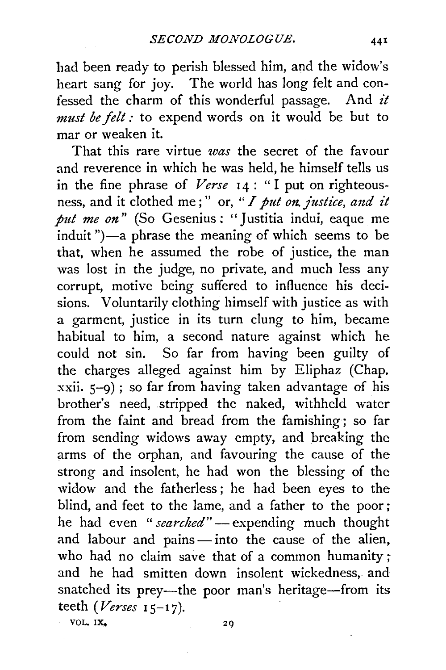had been ready to perish blessed him, and the widow's heart sang for joy. The world has long felt and confessed the charm of this wonderful passage. And *it must be felt :* to expend words on it would be but to mar or weaken it.

That this rare virtue *was* the secret of the favour and reverence in which he was held, he himself tells us in the fine phrase of *Verse* 14 : "I put on righteousness, and it clothed me;" or, "*I put on, justice, and it put me on*" (So Gesenius: "Justitia indui, eaque me induit ")-a phrase the meaning of which seems to be that, when he assumed the robe of justice, the man was lost in the judge, no private, and much less any corrupt, motive being suffered to influence his decisions. Voluntarily clothing himself with justice as with a garment, justice in its turn clung to him, became habitual to him, a second nature against which he could not sin. So far from having been guilty of the charges alleged against him by Eliphaz (Chap. xxii. 5-9) ; so far from having taken advantage of his brother's need, stripped the naked, withheld water from the faint and bread from the famishing; so far from sending widows away empty, and breaking the arms of the orphan, and favouring the cause of the strong and insolent, he had won the blessing of the widow and the fatherless ; he had been eyes to the blind, and feet to the lame, and a father to the poor ; he had even "*searched*" — expending much thought and labour and pains  $-$  into the cause of the alien. who had no claim save that of a common humanity; and he had smitten down insolent wickedness, and snatched its prey-the poor man's heritage-from its teeth *(Verses* I 5-17).

VOL.  $1X_2$  29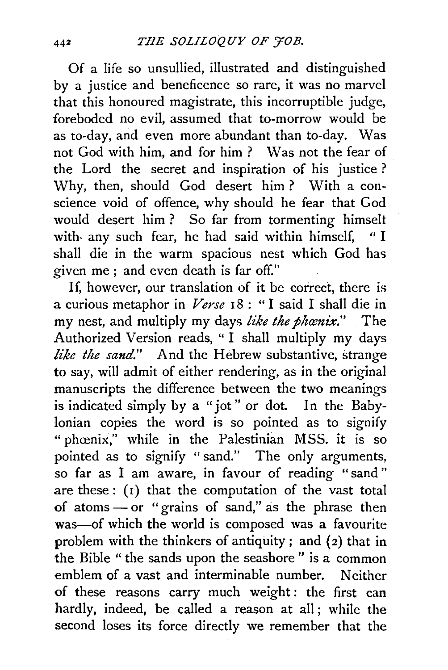Of a life so unsullied, illustrated and distinguished by a justice and beneficence so rare, it was no marvel that this honoured magistrate, this incorruptible judge, foreboded no evil, assumed that to-morrow would be as to-day, and even more abundant than to-day. Was not God with him, and for him ? Was not the fear of the Lord the secret and inspiration of his justice ? Why, then, should God desert him ? With a conscience void of offence, why should he fear that God would desert him ? So far from tormenting himselt with· any such fear, he had said within himself, " I shall die in the warm spacious nest which God has given me; and even death is far off."

If, however, our translation of it be correct, there is a curious metaphor in *Verse* 18 : " I said I shall die in my nest, and multiply my days like the phanix." The Authorized Version reads, "I shall multiply my days *like the sand."* And the Hebrew substantive, strange to say, will admit of either rendering, as in the original manuscripts the difference between the two meanings is indicated simply by a "jot" or dot. In the Babylonian copies the word is so pointed as to signify " phœnix," while in the Palestinian MSS. it is so pointed as to signify " sand." The only arguments, so far as I am aware, in favour of reading "sand" are these: (1) that the computation of the vast total of atoms  $-$  or "grains of sand," as the phrase then was-of which the world is composed was a favourite problem with the thinkers of antiquity; and (2) that in the Bible " the sands upon the seashore " is a common emblem of a vast and interminable number. Neither of these reasons carry much weight: the first can hardly, indeed, be called a reason at all ; while the second loses its force directly we remember that the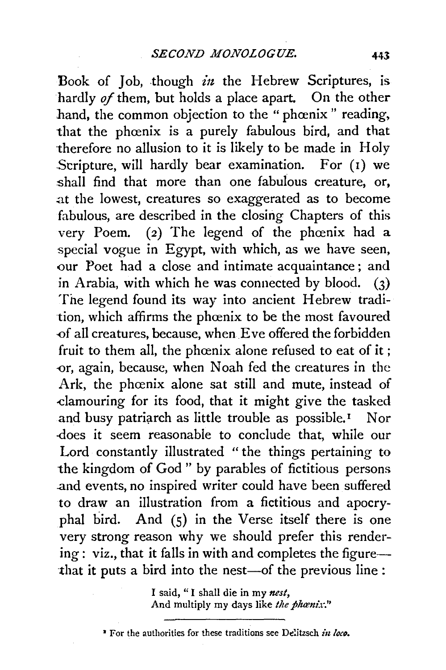Book of Job, though  $in$  the Hebrew Scriptures, is hardly *of* them, but holds a place apart. On the other hand, the common objection to the " phœnix " reading, that the phœnix is a purely fabulous bird, and that 'therefore no allusion to it is likely to be made in Holy Stripture, will hardly bear examination. For (1) we shall find that more than one fabulous creature, or, at the lowest, creatures so exaggerated as to become fabulous, are described in the closing Chapters of this very Poem. (2) The legend of the phoenix had a special vogue in Egypt, with which, as we have seen, our Poet had a close and intimate acquaintance; and in Arabia, with which he was connected by blood. (3) The legend found its way into ancient Hebrew tradition, which affirms the phœnix to be the most favoured -0f all creatures, because, when Eve offered the forbidden fruit to them all, the phoenix alone refused to eat of it; -0r, again, because, when Noah fed the creatures in the Ark, the phœnix alone sat still and mute, instead of -clamouring for its food, that it might give the tasked and busy patriarch as little trouble as possible.<sup>1</sup> Nor -does it seem reasonable to conclude that, while our Lord constantly illustrated "the things pertaining to the kingdom of God " by parables of fictitious persons .a.nd events, no inspired writer could have been suffered to draw an illustration from a fictitious and apocryphal bird. And (S) in the Verse itself there is one very strong reason why we should prefer this render $ing: viz., that it falls in with and completes the figure$ that it puts a bird into the nest-of the previous line :

> I said, " I shall die in my *nest,*  And multiply my days like the phanix."

<sup>&</sup>lt;sup>2</sup> For the authorities for these traditions see Delitzsch *in loco*.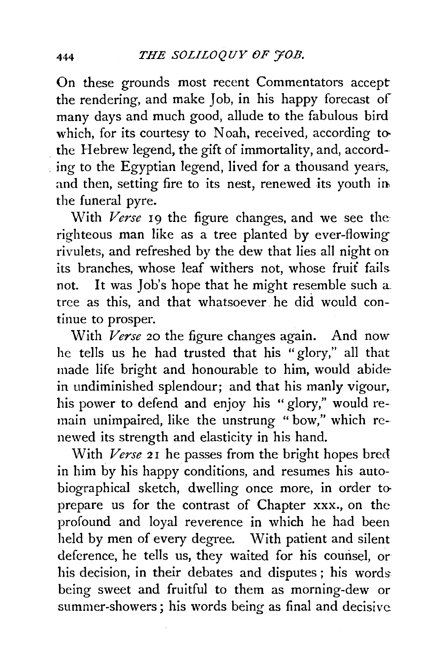On these grounds most recent Commentators accept the rendering, and make Job, in his happy forecast of many days and much good, allude to the fabulous bird which, for its courtesy to Noah, received, according tothe Hebrew legend, the gift of immortality, and, accord ing to the Egyptian legend, lived for a thousand years, and then, setting fire to its nest, renewed its youth in the funeral pyre.

With *Verse* 19 the figure changes, and we see the righteous man like as a tree planted by ever-flowing rivulets, and refreshed by the dew that lies all night on its branches, whose leaf withers not, whose fruit fails. not. It was Job's hope that he might resemble such a. tree as this, and that whatsoever he did would continue to prosper.

With *Verse* 20 the figure changes again. And now he tells us he had trusted that his "glory," all that made life bright and honourable to him, would abide in undiminished splendour; and that his manly vigour, his power to defend and enjoy his "glory," would remain unimpaired, like the unstrung " bow," which renewed its strength and elasticity in his hand.

With *Verse* 21 he passes from the bright hopes bred in him by his happy conditions, and resumes his autobiographical sketch, dwelling once more, in order toprepare us for the contrast of Chapter xxx., on the profound and loyal reverence in which he had been held by men of every degree. With patient and silent deference, he tells us, they waited for his counsel, or his decision, in their debates and disputes ; his words being sweet and fruitful to them as morning-dew or summer-showers; his words being as final and decisive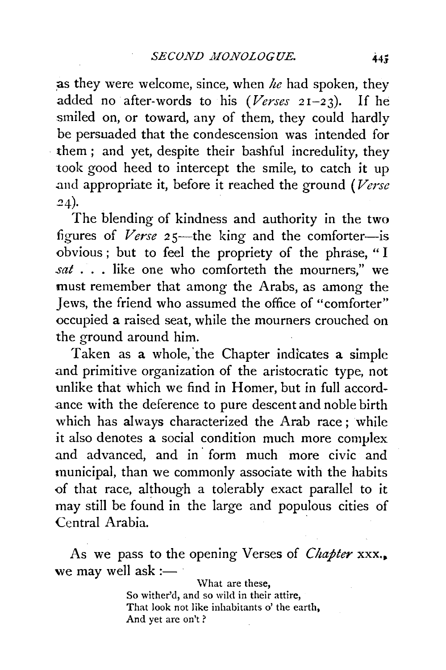as they were welcome, since, when *he* had spoken, they added no after-words to his *(Verses* 21-23). If he smiled on, or toward, any of them, they could hardly be persuaded that the condescension was intended for them ; and yet, despite their bashful incredulity, they took good heed to intercept the smile, to catch it up .and appropriate it, before it reached the ground *(Verse*  24).

The blending of kindness and authority in the two figures of *Verse* 25—the king and the comforter—is obvious ; but to feel the propriety of the phrase, " I *sat* . . . like one who comforteth the mourners," we must remember that among the Arabs, as among the Jews, the friend who assumed the office of "comforter" occupied a raised seat, while the mourners crouched on the ground around him.

Taken as a whole, 'the Chapter indicates a simple and primitive organization of the aristocratic type, not unlike that which we find in Homer, but in full accord ance with the deference to pure descent and noble birth which has always characterized the Arab race; while it also denotes a social condition much more complex and advanced, and in· form much more civic and municipal, than we commonly associate with the habits of that race, although a tolerably exact parallel to it may still be found in the large and populous cities of Central Arabia.

As we pass to the opening Verses of *Chapter* xxx., we may well ask  $:=$ 

> \Vhat are these, So wither'd, and so wild in their attire, That look not like inhabitants o' the earth, And yet are on't ?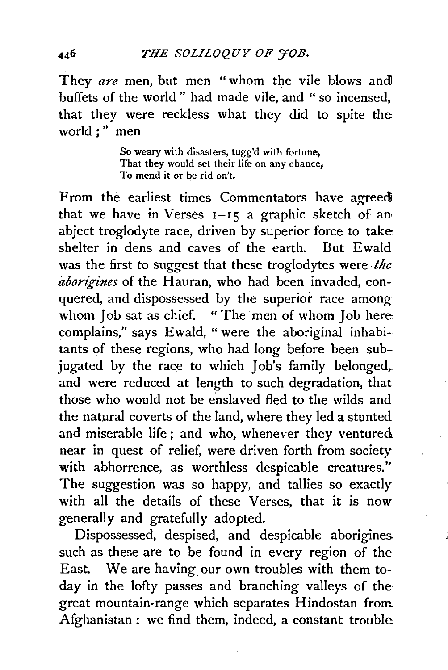They *are* men, but men "whom the vile blows andl buffets of the world " had made vile, and " so incensed, that they were reckless what they did to spite the world;" men

> So weary with disasters, tugg'd with fortune, That they would set their life on any chance. To mend it or be rid on't.

From the earliest times Commentators have agreed that we have in Verses  $1-15$  a graphic sketch of an abject troglodyte race, driven by superior force to take shelter in dens and caves of the earth. But Ewald was the first *to* suggest that these troglodytes were . *theaborigines* of the Hauran, who had been invaded, conquered, and dispossessed by the superior race among whom Job sat as chief. " The men of whom Job here complains," says Ewald, "were the aboriginal inhabitants of these regions, who had long before been subjugated by the race to which Job's family belonged,. and were reduced at length to such degradation, that those who would not be enslaved fled to the wilds and the natural coverts of the land, where they led a stunted and miserable life ; and who, whenever they ventured near in quest of relief, were driven forth from society with abhorrence, as worthless despicable creatures." The suggestion was so happy, and tallies so exactly with all the details of these Verses, that it is *now*  generally and gratefully adopted.

Dispossessed, despised, and despicable aborigines. such as these are to be found in every region of the East. We are having our own troubles with them today in the lofty passes and branching valleys of the great mountain-range which separates Hindostan from Afghanistan : we find them, indeed, a constant trouble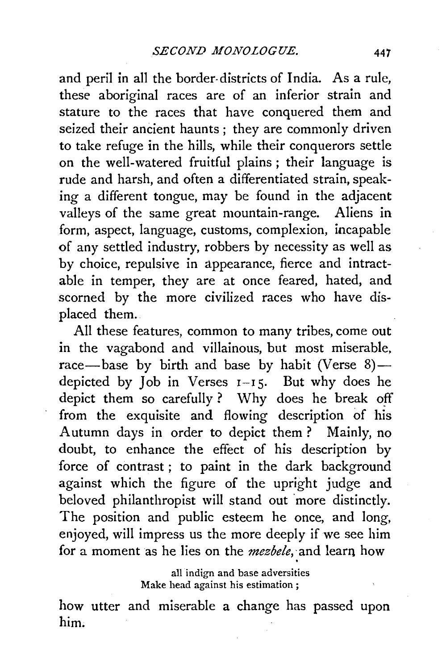and peril in all the border- districts of India. As a rule, these aboriginal races are of an inferior strain and stature to the races that have conquered them and seized their ancient haunts ; they are commonly driven to take refuge in the hills, while their conquerors settle on the well-watered fruitful plains; their language is rude and harsh, and often a differentiated strain, speaking a different tongue, may be found in the adjacent valleys of the same great mountain-range. Aliens in form, aspect, language, customs, complexion, incapable of any settled industry, robbers by necessity as well as by choice, repulsive in appearance, fierce and intractable in temper, they are at once feared, hated, and scorned by the more civilized races who have displaced them.

All these features, common to many tribes, come out in the vagabond and villainous, but most miserable, race-base by birth and base by habit (Verse  $8$ )depicted by Job in Verses  $I-I5$ . But why does he depict them so carefully? Why does he break off from the exquisite and flowing description of his Autumn days in order to depict them? Mainly, no doubt, to enhance the effect of his description by force of contrast ; to paint in the dark background against which the figure of the upright judge and beloved philanthropist will stand out more distinctly. The position and public esteem he once, and long, enjoyed, will impress us the more deeply if we see him for a moment as he lies on the *mezbele,* and learn how .

> all indign and base adversities Make head against his estimation ;

how utter and miserable a change has passed upon him.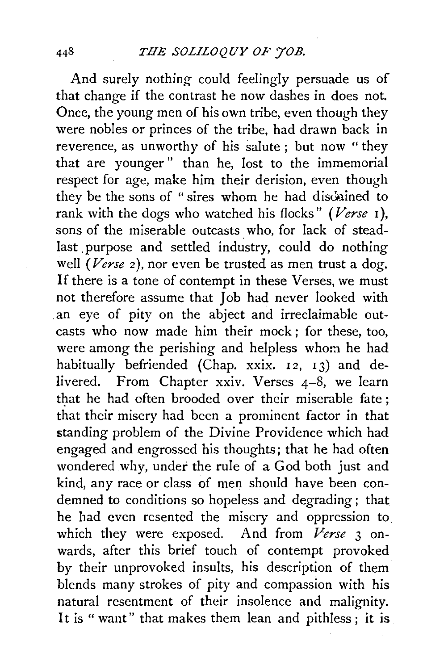And surely nothing could feelingly persuade us of that change if the contrast he now dashes in does not. Once, the young men of his own tribe, even though they were nobles or princes of the tribe, had drawn back in reverence, as unworthy of his salute; but now "they that are younger " than he, lost to the immemorial respect for age, make him their derision, even though they be the sons of " sires whom he had disduined to rank with the dogs who watched his flocks" *(Verse* 1 ), sons of the miserable outcasts who, for lack of steadlast . purpose and settled industry, could do nothing well *(Verse 2)*, nor even be trusted as men trust a dog. If there is a tone of contempt in these Verses, we must not therefore assume that Job had never looked with an eye of pity on the abject and irreclaimable outcasts who now made him their mock; for these, too, were among the perishing and helpless whom he had habitually befriended (Chap. xxix. 12, 13) and delivered. From Chapter xxiv. Verses 4-8; we learn that he had often brooded over their miserable fate; that their misery had been a prominent factor in that standing problem of the Divine Providence which had engaged and engrossed his thoughts; that he had often wondered why, under the rule of a God both just and kind, any race or class of men should have been condemned to conditions so hopeless and degrading; that he had even resented the misery and oppression to. which they were exposed. And from *Verse* 3 onwards, after this brief touch of contempt provoked by their unprovoked insults, his description of them blends many strokes of pity and compassion with his natural resentment of their insolence and malignity. It is " want" that makes them lean and pithless ; it is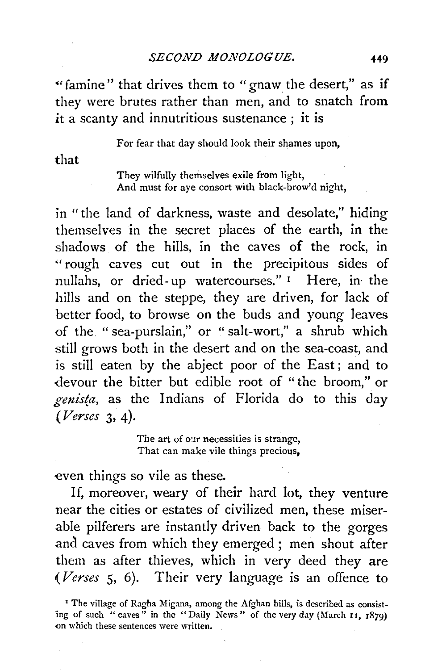"famine" that drives them to "gnaw the desert," as if they were brutes rather than men, and to snatch from it a scanty and innutritious sustenance ; it is

For fear that day should look their shames upon,

that

They wilfully themselves exile from light, And must for ave consort with black-brow'd night,

in "the land of darkness, waste and desolate," hiding themselves in the secret places of the earth, in the shadows of the hills, in the caves of the rock, in "rough caves cut out in the precipitous sides of nullahs, or dried-up watercourses." <sup>I</sup> Here, in the hills and on the steppe, they are driven, for lack of better food, to browse on the buds and young leaves of the. "sea-purslain," or " salt-wort," a shrub which still grows both in the desert and on the sea-coast, and is still eaten by the abject poor of the East; and to <levour the bitter but edible root of "the broom," or  $genista$ , as the Indians of Florida do to this day *(Verses* 3, 4).

> The art of our necessities is strange, That can make vile things precious,

even things so vile as these.

If, moreover, weary of their hard lot, they venture near the cities or estates of civilized men, these miserable pilferers are instantly driven back to the gorges and caves from which they emerged ; men shout after them as after thieves, which in very deed they are *(Verses* 5, 6). Their very language is an offence to

<sup>&#</sup>x27; The village of Ragha Migana, among the Afghan hills, is described as consisting of such "caves" in the "Daily News" of the very day (March 11, 1879) on which these sentences were written.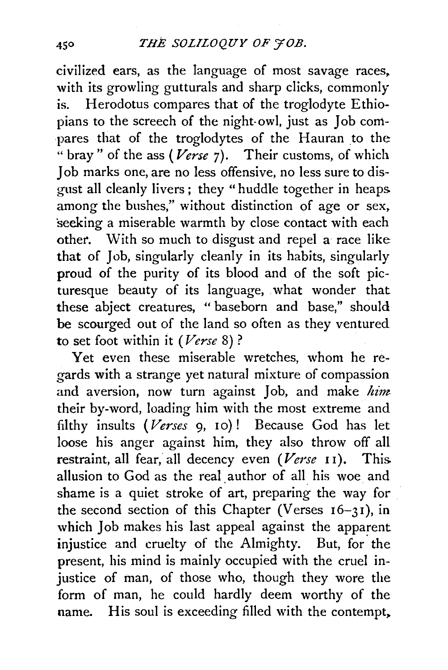civilized ears, as the language of most savage races, with its growling gutturals and sharp clicks, commonly is. Herodotus compares that of the troglodyte Ethiopians to the screech of the night-owl, just as Job compares that of the troglodytes of the Hauran to the " bray" of the ass (Verse 7). Their customs, of which Job marks one, are no less offensive, no less sure to disgust all cleanly livers ; they " huddle together in heaps among the bushes," without distinction of age or sex, seeking a miserable warmth by close contact with each othet. With so much to disgust and repel a race like that of Job, singularly cleanly in its habits, singularly proud of the purity of its blood and of the soft picturesque beauty of its language, what wonder that these abject creatures, "baseborn and base," should be scourged out of the land so often as they ventured to set foot within it *(Verse* 8) ?

Yet even these miserable wretches, whom he regards with a strange yet natural mixture of compassion and aversion, now turn against Job, and make *him*  their by-word, loading him with the most extreme and filthy insults ( *Verses* 9, 10) ! Because God has let loose his anger against him, they also throw off all restraint, all fear, all decency even *(Verse* II). This allusion to God as the real. author of all his woe and shame is a quiet stroke of art, preparing the way for the second section of this Chapter (Verses  $16-31$ ), in which Joh makes his last appeal against the apparent injustice and cruelty of the Almighty. But, for the present, his mind is mainly occupied with the cruel injustice of man, of those who, though they wore the form of man, he could hardly deem worthy of the name. His soul is exceeding filled with the contempt,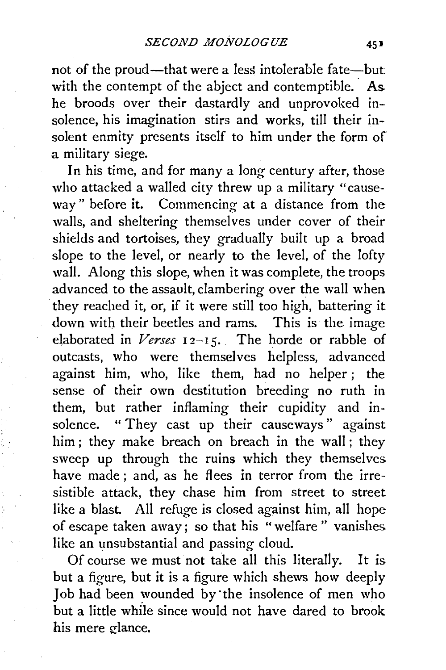not of the proud—that were a less intolerable fate—but: with the contempt of the abject and contemptible. As he broods over their dastardly and unprovoked insolence, his imagination stirs and works, till their insolent enmity presents itself to him under the form of a military siege.

In his time, and for many a long century after, those who attacked a walled city threw up a military "causeway" before it. Commencing at a distance from the walls, and sheltering themselves under cover of their shields and tortoises, they gradually built up a broad slope to the level, or nearly to the level, of the lofty wall. Along this slope, when it was complete, the troops advanced to the assault, clambering over the wall when they reached it, or, if it were still too high, battering it down with their beetles and rams. This is the image elaborated in *Verses* 12-15. The horde or rabble of outcasts, who were themselves helpless, advanced against him, who, like them, had no helper ; the sense of their own destitution breeding no ruth in them, but rather inflaming their cupidity and insolence. "They cast up their causeways" against him ; they make breach on breach in the wall ; they sweep up through the ruins which they themselves have made; and, as he flees in terror from the irresistible attack, they chase him from street to street like a blast. All refuge is closed against him, all hope of escape taken away; so that his "welfare " vanishes like an unsubstantial and passing cloud.

Of course we must not take all this literally. It is but a figure, but it is a figure which shews how deeply Job had been wounded by"the insolence of men who but a little while since would not have dared to brook his mere glance.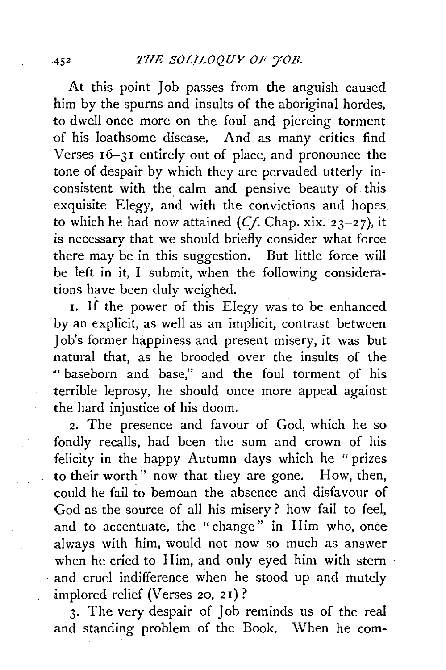At this point Job passes from the anguish caused him by the spurns and insults of the aboriginal hordes, to dwell once more on the foul and piercing torment of his loathsome disease. And as many critics find Verses 16-31 entirely out of place, and pronounce the tone of despair by which they are pervaded utterly inconsistent with the calm and pensive beauty of this exquisite Elegy, and with the convictions and hopes to which he had now attained  $(C_f)$ . Chap. xix. 23-27), it is necessary that we should briefly consider what force there may be in this suggestion. But little force will be left in it, I submit, when the following considerations have been duly weighed.

1. If the power of this Elegy was to be enhanced by an explicit, as well as an implicit, contrast between Job's former happiness and present misery, it was but natural that, as he brooded over the insults of the "baseborn and base," and the foul torment of his terrible leprosy, he should once more appeal against the hard injustice of his doom.

2. The presence and favour of God, which he so fondly recalls, had been the sum and crown of his felicity in the happy Autumn days which he " prizes to their worth" now that they are gone. How, then, could he fail to bemoan the absence and disfavour of God as the source of all his misery ? how fail to feel, and to accentuate, the "change" in Him who, once always with him, would not now so much as answer when he cried to Him, and only eyed him with stern and cruel indifference when he stood up and mutely implored relief (Verses 20, 21)?

3. The very despair of Job reminds us of the real and standing problem of the Book. When he com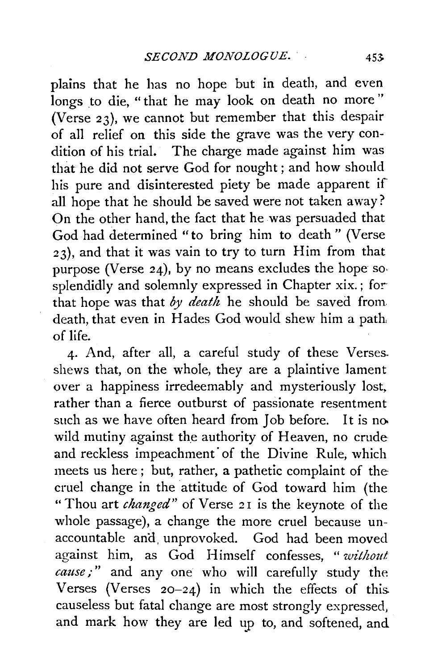plains that he has no hope but in death, and even longs to die, "that he may look on death no more" (Verse 23), we cannot but remember that this despair of all relief on this side the grave was the very condition of his trial. The charge made against him was that he did not serve God for nought ; and how should his pure and disinterested piety be made apparent if all hope that he should be saved were not taken away? On the other hand, the fact that he was persuaded that God had determined "to bring him to death " (Verse 23), and that it was vain to try to turn Him from that purpose (Verse 24), by no means excludes the hope sosplendidly and solemnly expressed in Chapter xix.; for that hope was that *by death* he should be saved from death, that even in Hades God would shew him a path of life.

4. And, after all, a careful study of these Verses. shews that, on the whole, they are a plaintive lament over a happiness irredeemably and mysteriously lost, rather than a fierce outburst of passionate resentment such as we have often heard from Job before. It is no wild mutiny against the authority of Heaven, no crude and reckless impeachment of the Divine Rule, which meets us here ; but, rather, a pathetic complaint of the cruel change in the attitude of God toward him (the "Thou art *changed"* of Verse 21 is the keynote of the whole passage), a change the more cruel because unaccountable and unprovoked. God had been moved against him, as God Himself confesses, *"without cause;"* and any one who will carefully study the Verses (Verses  $20-24$ ) in which the effects of this causeless but fatal change are most strongly expressed, and mark how they are led up to, and softened, and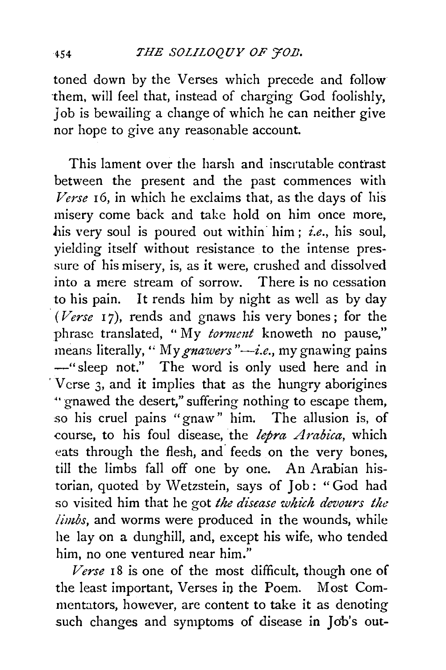toned down by the Verses which precede and follow ·them, will feel that, instead of charging God foolishly, Job is bewailing a change of which he can neither give nor hope to give any reasonable account.

This lament over the harsh and inscrutable contrast between the present and the past commences with *Verse* 16, in which he exclaims that, as the days of his misery come back and take hold on him once more, his very soul is poured out within him; *i.e.*, his soul, yielding itself without resistance to the intense pressure of his misery, is, as it were, crushed and dissolved into a mere stream of sorrow. There is no cessation to his pain. It rends him by night as well as by day (Verse 17), rends and gnaws his very bones; for the phrase translated, "My *torment* knoweth no pause," means literally, " My gnawers "-i.e., my gnawing pains -"sleep not." The word is only used here and in  $V \,$  V crse 3, and it implies that as the hungry aborigines " gnawed the desert," suffering nothing to escape them, so his cruel pains "gnaw" him. The allusion is, of course, to his foul disease, the *lepra Arabica,* which eats through the flesh, and. feeds on the very bones, till the limbs fall off one by one. An Arabian historian, quoted by Wetzstein, says of Job : "God had so visited him that he got *the disease which devours the limbs,* and worms were produced in the wounds, while he lay on a dunghill, and, except his wife, who tended him, no one ventured near him."

Verse 18 is one of the most difficult, though one of the least important, Verses in the Poem. Most Commentators, however, are content to take it as denoting such changes and symptoms of disease in Job's out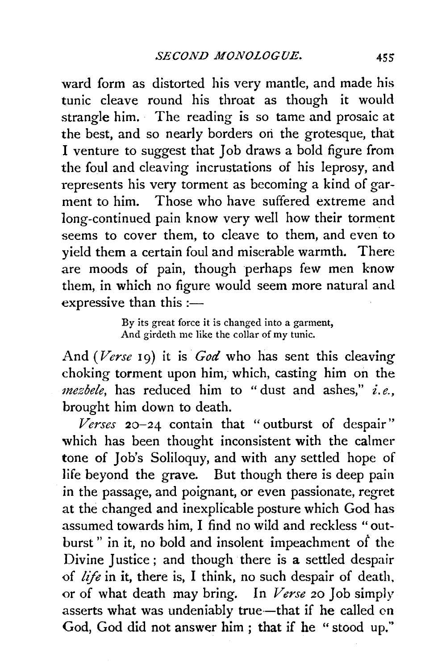ward form as distorted his very mantle, and made his tunic cleave round his throat as though it would strangle him. · The reading is so tame and prosaic at the best, and so nearly borders ori the grotesque, that I venture to suggest that Job draws a bold figure from the foul and cleaving incrustations of his leprosy, and represents his very torment as becoming a kind of garment to him. Those who have suffered extreme and long-continued pain know very well how their torment seems to cover them, to cleave to them, and even to yield them a certain foul and miserable warmth. There are moods of pain, though perhaps few men know them, in which no figure would seem more natural and expressive than this  $:=$ 

> By its great force it is changed into a garment, And girdeth me like the collar of my tunic.

And *(Verse* 19) it is *God* who has sent this cleaving choking torment upon him, which, casting him on the *mezbele,* has reduced him to "dust and ashes," *i.e.,*  brought him down to death.

*Verses* 20-24 contain that "outburst of despair" which has been thought inconsistent with the calmer tone of Job's Soliloquy, and with any settled hope of life beyond the grave. But though there is deep pain in the passage, and poignant, or even passionate, regret at the changed and inexplicable posture which God has assumed towards him, I find no wild and reckless "outburst" in it, no bold and insolent impeachment of the Divine Justice ; and though there is a settled despair of *life* in it, there is, I think, no such despair of death. or of what death may bring. In *Verse* 20 Job simply asserts what was undeniably true-that if he called on God, God did not answer him; that if he "stood up."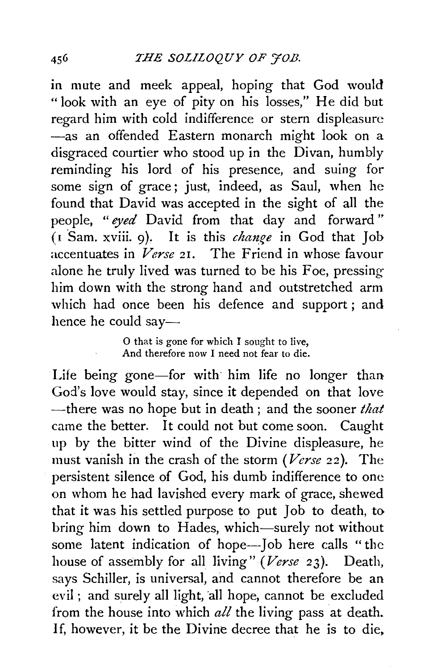in mute and meek appeal, hoping that God would "look with an eye of pity on his losses," He did but regard him with cold indifference or stern displeasure -as an offended Eastern monarch might look on a disgraced courtier who stood up in the Divan, humbly reminding his lord of his presence, and suing for some sign of grace ; just, indeed, as Saul, when he found that David was accepted in the sight of all the people, *"eyed* David from that day and forward" (*I* Sam. xviii. 9). It is this *change* in God that Job accentuates in *Verse* 21. The Friend in whose favour alone he truly lived was turned to be his Foe, pressing him down with the strong hand and outstretched arm which had once been his defence and support ; and hence he could say-

#### 0 that is gone for which I sought to live, And therefore now I need not fear to die.

Life being gone-for with him life no longer than God's love would stay, since it depended on that love -there was no hope but in death ; and the sooner *that*  came the better. It could not but come soon. Caught up by the bitter wind of the Divine displeasure, he must vanish in the crash of the storm (Verse 22). The persistent silence of God, his dumb indifference to one on whom he had lavished every mark of grace, shewed that it was his settled purpose to put Job to death, to bring him down to Hades, which-surely not without some latent indication of hope-Job here calls "the house of assembly for all living" *(Verse* 23). Death, says Schiller, is universal, and cannot therefore be an evil; and surely all light, all hope, cannot be excluded from the house into which *all* the living pass at death. If, however, it be the Divine decree that he is to die,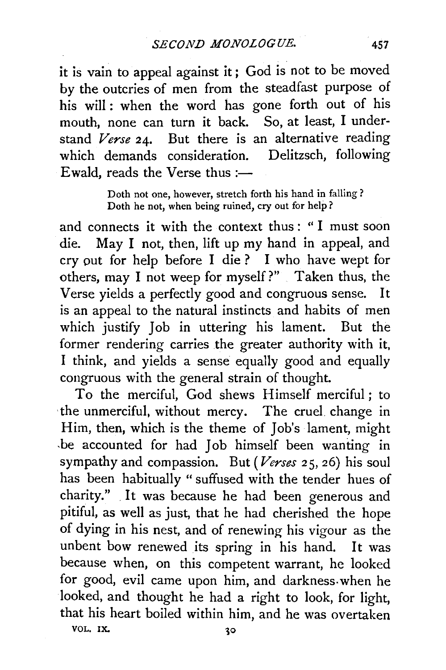it is vain to appeal against it; God is not to be moved by the outcries of men from the steadfast purpose of his will : when the word has gone forth out of his mouth, none can turn it back. So, at least, I understand *Verse* 24. But there is an alternative reading which demands consideration. Delitzsch, following Ewald, reads the Verse thus: $\rightleftharpoons$ 

> Doth not one, however, stretch forth his hand in falling ? Doth he not, when being ruined, cry out for help ?

and connects it with the context thus : " I must soon die. May I not, then, lift up my hand in appeal, and cry put for help before I die ? I who have wept for others, may I not weep for myself?" Taken thus, the Verse yields a perfectly good and congruous sense. It is an appeal to the natural instincts and habits of men which justify Joh in uttering his lament. But the former rendering carries the greater authority with it, I think, and yields a sense equally good and equally congruous with the general strain of thought.

To the merciful, God shews Himself merciful; to the unmerciful, without mercy. The cruel. change in Him, then, which is the theme of Job's lament, might -be accounted for had Job himself been wanting in sympathy and compassion. But *(Verses* 25, 26) his soul has been habitually " suffused with the tender hues of charity." It was because he had been generous and pitiful, as well as just, that he had cherished the hope of dying in his nest, and of renewing his vigour as the unbent bow renewed its spring in his hand. It was because when, on this competent warrant, he looked for good, evil came upon him, and darkness. when he looked, and thought he had a right to look, for light, that his heart boiled within him, and he was overtaken

VOL. IX.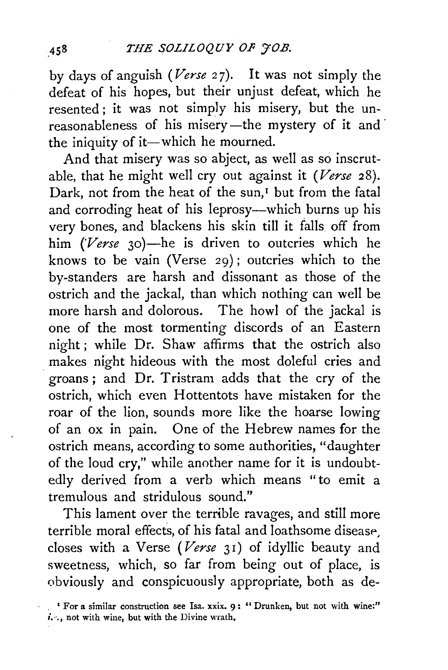by days of anguish *(Verse* 27). It was not simply the defeat of his hopes, but their unjust defeat, which he resented ; it was not simply his misery, but the unreasonableness of his misery-the mystery of it and the iniquity of it-which he mourned.

And that misery was so abject, as well as so inscrutable, that he might well cry out against it *(Verse* 28). Dark, not from the heat of the sun,<sup>I</sup> but from the fatal and corroding heat of his leprosy-which burns up his very bones, and blackens his skin till it falls off from him *(Verse* 30)-he is driven to outcries which he knows to be vain (Verse 29); outcries which to the by-standers are harsh and dissonant as those of the ostrich and the jackal, than which nothing can well be more harsh and dolorous. The howl of the jackal is one of the most tormenting discords of an Eastern night; while Dr. Shaw affirms that the ostrich also makes night hideous with the most doleful cries and groans; and Dr. Tristram adds that the cry of the ostrich, which even Hottentots have mistaken for the roar of the lion, sounds more like the hoarse lowing of an ox in pain. One of the Hebrew names for the ostrich means, according to some authorities, "daughter of the loud cry," while another name for it is undoubtedly derived from a verb which means "to emit a tremulous and stridulous sound."

This lament over the terrible ravages, and still more terrible moral effects, of his fatal and loathsome disease closes with a Verse *(Verse* 31) of idyllic beauty and sweetness, which, so far from being out of place, is obviously and conspicuously appropriate, both as de-

458

<sup>•</sup> For a similar construction see Isa. xxix. 9 : " Drunken, but not with wine:" *i...*, not with wine, but with the Divine wrath.